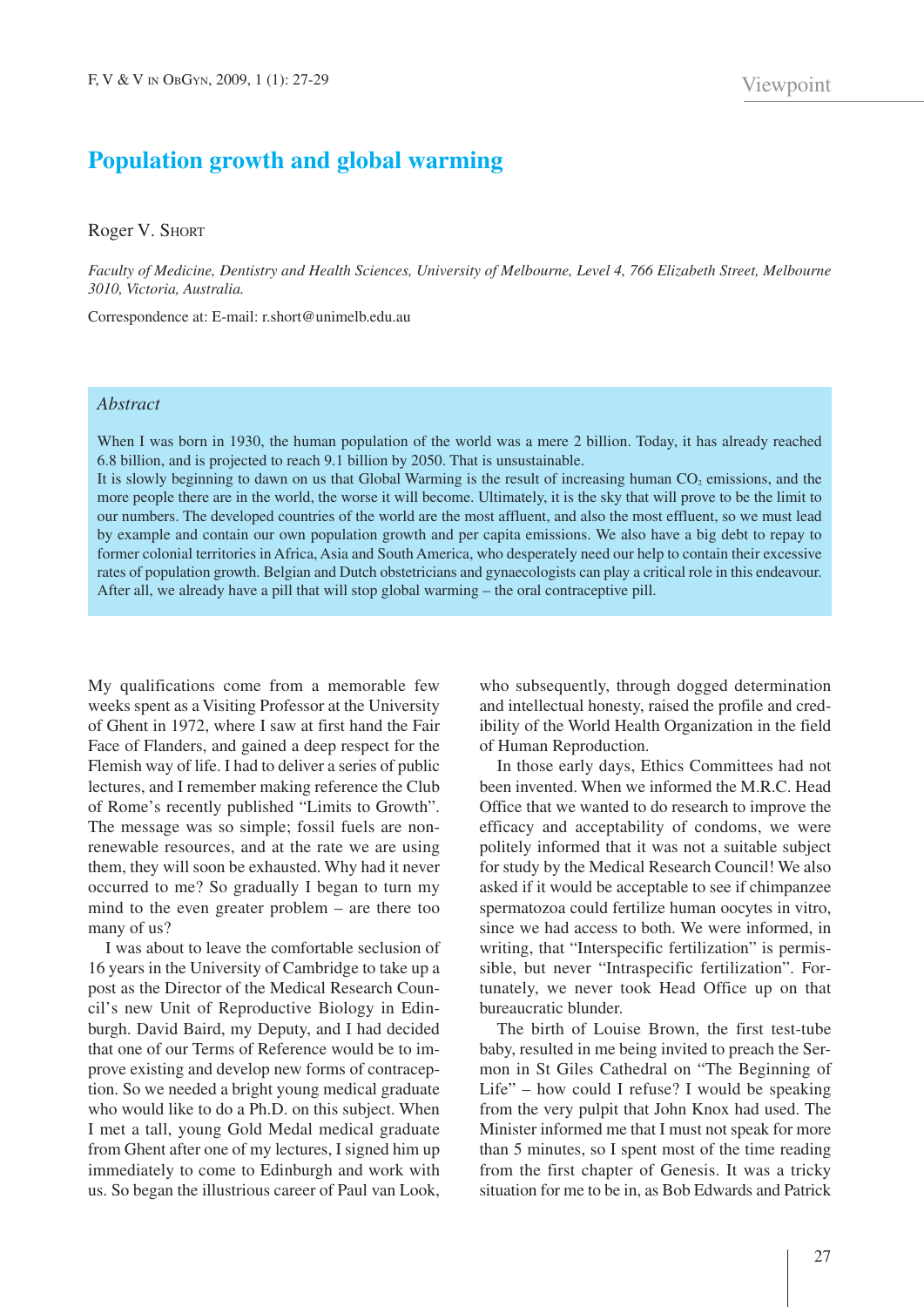## **Population growth and global warming**

Roger V. SHORT

Faculty of Medicine, Dentistry and Health Sciences, University of Melbourne, Level 4, 766 Elizabeth Street, Melbourne *3010, Victoria, Australia.*

Correspondence at: E-mail: r.short@unimelb.edu.au

## *Abstract*

When I was born in 1930, the human population of the world was a mere 2 billion. Today, it has already reached 6.8 billion, and is projected to reach 9.1 billion by 2050. That is unsustainable.

It is slowly beginning to dawn on us that Global Warming is the result of increasing human  $CO<sub>2</sub>$  emissions, and the more people there are in the world, the worse it will become. Ultimately, it is the sky that will prove to be the limit to our numbers. The developed countries of the world are the most affluent, and also the most effluent, so we must lead by example and contain our own population growth and per capita emissions. We also have a big debt to repay to former colonial territories in Africa, Asia and South America, who desperately need our help to contain their excessive rates of population growth. Belgian and Dutch obstetricians and gynaecologists can play a critical role in this endeavour. After all, we already have a pill that will stop global warming – the oral contraceptive pill.

My qualifications come from a memorable few weeks spent as a Visiting Professor at the University of Ghent in 1972, where I saw at first hand the Fair Face of Flanders, and gained a deep respect for the Flemish way of life. I had to deliver a series of public lectures, and I remember making reference the Club of Rome's recently published "Limits to Growth". The message was so simple; fossil fuels are nonrenewable resources, and at the rate we are using them, they will soon be exhausted. Why had it never occurred to me? So gradually I began to turn my mind to the even greater problem – are there too many of us?

I was about to leave the comfortable seclusion of 16 years in the University of Cambridge to take up a post as the Director of the Medical Research Council's new Unit of Reproductive Biology in Edinburgh. David Baird, my Deputy, and I had decided that one of our Terms of Reference would be to improve existing and develop new forms of contraception. So we needed a bright young medical graduate who would like to do a Ph.D. on this subject. When I met a tall, young Gold Medal medical graduate from Ghent after one of my lectures, I signed him up immediately to come to Edinburgh and work with us. So began the illustrious career of Paul van Look,

who subsequently, through dogged determination and intellectual honesty, raised the profile and credibility of the World Health Organization in the field of Human Reproduction.

In those early days, Ethics Committees had not been invented. When we informed the M.R.C. Head Office that we wanted to do research to improve the efficacy and acceptability of condoms, we were politely informed that it was not a suitable subject for study by the Medical Research Council! We also asked if it would be acceptable to see if chimpanzee spermatozoa could fertilize human oocytes in vitro, since we had access to both. We were informed, in writing, that "Interspecific fertilization" is permissible, but never "Intraspecific fertilization". Fortunately, we never took Head Office up on that bureaucratic blunder.

The birth of Louise Brown, the first test-tube baby, resulted in me being invited to preach the Sermon in St Giles Cathedral on "The Beginning of Life" – how could I refuse? I would be speaking from the very pulpit that John Knox had used. The Minister informed me that I must not speak for more than 5 minutes, so I spent most of the time reading from the first chapter of Genesis. It was a tricky situation for me to be in, as Bob Edwards and Patrick